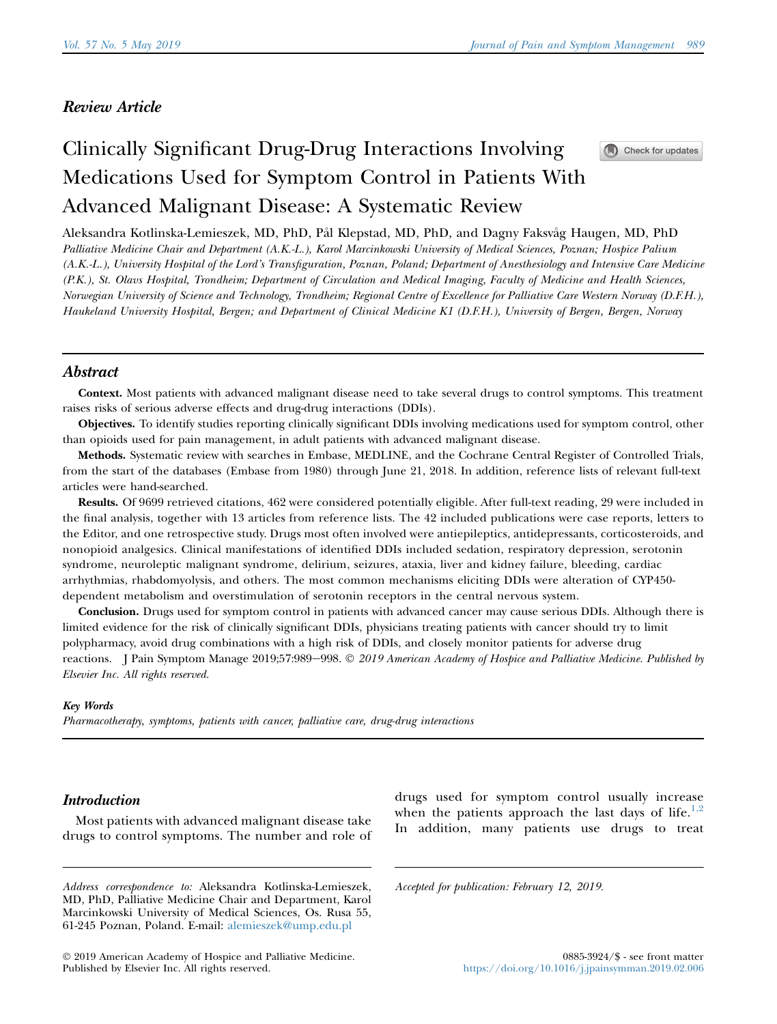# Review Article

# Clinically Significant Drug-Drug Interactions Involving Medications Used for Symptom Control in Patients With Advanced Malignant Disease: A Systematic Review



Aleksandra Kotlinska-Lemieszek, MD, PhD, Pal Klepstad, MD, PhD, and Dagny Faksvag Haugen, MD, PhD Palliative Medicine Chair and Department (A.K.-L.), Karol Marcinkowski University of Medical Sciences, Poznan; Hospice Palium (A.K.-L.), University Hospital of the Lord's Transfiguration, Poznan, Poland; Department of Anesthesiology and Intensive Care Medicine (P.K.), St. Olavs Hospital, Trondheim; Department of Circulation and Medical Imaging, Faculty of Medicine and Health Sciences, Norwegian University of Science and Technology, Trondheim; Regional Centre of Excellence for Palliative Care Western Norway (D.F.H.), Haukeland University Hospital, Bergen; and Department of Clinical Medicine K1 (D.F.H.), University of Bergen, Bergen, Norway

# Abstract

Context. Most patients with advanced malignant disease need to take several drugs to control symptoms. This treatment raises risks of serious adverse effects and drug-drug interactions (DDIs).

Objectives. To identify studies reporting clinically significant DDIs involving medications used for symptom control, other than opioids used for pain management, in adult patients with advanced malignant disease.

Methods. Systematic review with searches in Embase, MEDLINE, and the Cochrane Central Register of Controlled Trials, from the start of the databases (Embase from 1980) through June 21, 2018. In addition, reference lists of relevant full-text articles were hand-searched.

Results. Of 9699 retrieved citations, 462 were considered potentially eligible. After full-text reading, 29 were included in the final analysis, together with 13 articles from reference lists. The 42 included publications were case reports, letters to the Editor, and one retrospective study. Drugs most often involved were antiepileptics, antidepressants, corticosteroids, and nonopioid analgesics. Clinical manifestations of identified DDIs included sedation, respiratory depression, serotonin syndrome, neuroleptic malignant syndrome, delirium, seizures, ataxia, liver and kidney failure, bleeding, cardiac arrhythmias, rhabdomyolysis, and others. The most common mechanisms eliciting DDIs were alteration of CYP450 dependent metabolism and overstimulation of serotonin receptors in the central nervous system.

Conclusion. Drugs used for symptom control in patients with advanced cancer may cause serious DDIs. Although there is limited evidence for the risk of clinically significant DDIs, physicians treating patients with cancer should try to limit polypharmacy, avoid drug combinations with a high risk of DDIs, and closely monitor patients for adverse drug reactions. J Pain Symptom Manage 2019;57:989-998.  $\odot$  2019 American Academy of Hospice and Palliative Medicine. Published by Elsevier Inc. All rights reserved.

## Key Words

Pharmacotherapy, symptoms, patients with cancer, palliative care, drug-drug interactions

# **Introduction**

Most patients with advanced malignant disease take drugs to control symptoms. The number and role of drugs used for symptom control usually increase when the patients approach the last days of life. $1,2$ In addition, many patients use drugs to treat

Accepted for publication: February 12, 2019.

Address correspondence to: Aleksandra Kotlinska-Lemieszek, MD, PhD, Palliative Medicine Chair and Department, Karol Marcinkowski University of Medical Sciences, Os. Rusa 55, 61-245 Poznan, Poland. E-mail: alemieszek@ump.edu.pl

2019 American Academy of Hospice and Palliative Medicine. Published by Elsevier Inc. All rights reserved.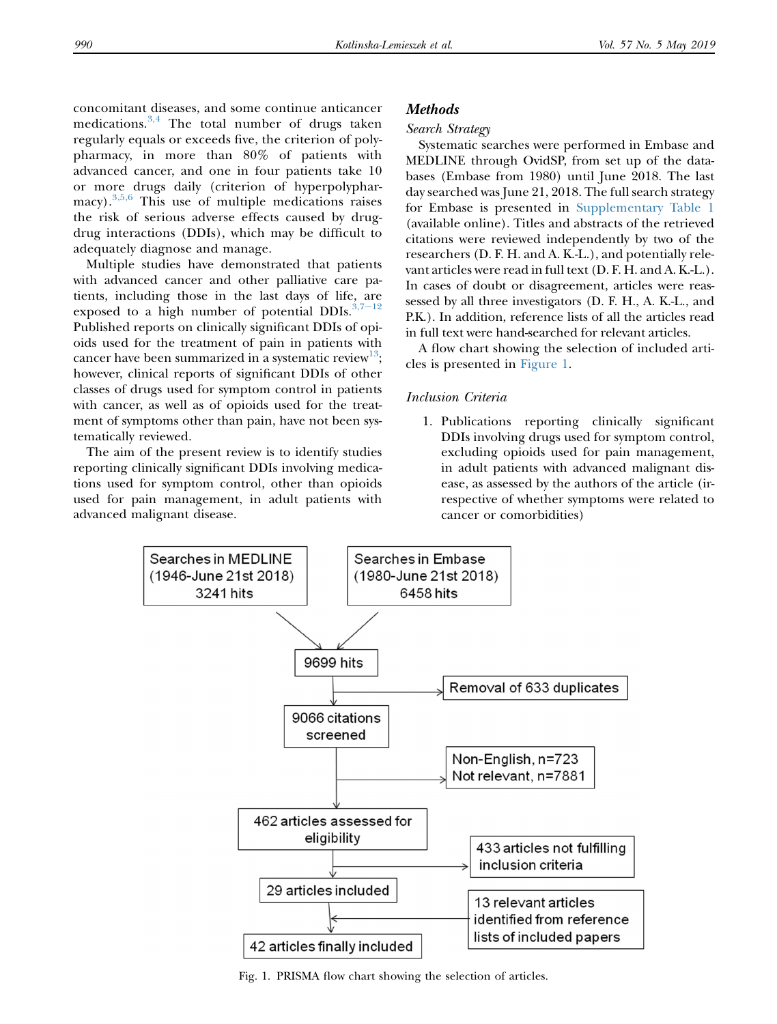<span id="page-1-0"></span>concomitant diseases, and some continue anticancer medications.<sup>[3,4](#page-7-0)</sup> The total number of drugs taken regularly equals or exceeds five, the criterion of polypharmacy, in more than 80% of patients with advanced cancer, and one in four patients take 10 or more drugs daily (criterion of hyperpolyphar- $\text{macy}$ ).<sup>[3,5,6](#page-7-0)</sup> This use of multiple medications raises the risk of serious adverse effects caused by drugdrug interactions (DDIs), which may be difficult to adequately diagnose and manage.

Multiple studies have demonstrated that patients with advanced cancer and other palliative care patients, including those in the last days of life, are exposed to a high number of potential DDIs. $3,7-12$  $3,7-12$ Published reports on clinically significant DDIs of opioids used for the treatment of pain in patients with cancer have been summarized in a systematic review<sup>13</sup>; however, clinical reports of significant DDIs of other classes of drugs used for symptom control in patients with cancer, as well as of opioids used for the treatment of symptoms other than pain, have not been systematically reviewed.

The aim of the present review is to identify studies reporting clinically significant DDIs involving medications used for symptom control, other than opioids used for pain management, in adult patients with advanced malignant disease.

#### **Methods**

#### Search Strategy

Systematic searches were performed in Embase and MEDLINE through OvidSP, from set up of the databases (Embase from 1980) until June 2018. The last day searched was June 21, 2018. The full search strategy for Embase is presented in [Supplementary Table 1](#page-10-0) (available online). Titles and abstracts of the retrieved citations were reviewed independently by two of the researchers (D. F. H. and A. K.-L.), and potentially relevant articles were read in full text (D. F. H. and A. K.-L.). In cases of doubt or disagreement, articles were reassessed by all three investigators (D. F. H., A. K.-L., and P.K.). In addition, reference lists of all the articles read in full text were hand-searched for relevant articles.

A flow chart showing the selection of included articles is presented in Figure 1.

#### Inclusion Criteria

1. Publications reporting clinically significant DDIs involving drugs used for symptom control, excluding opioids used for pain management, in adult patients with advanced malignant disease, as assessed by the authors of the article (irrespective of whether symptoms were related to cancer or comorbidities)



Fig. 1. PRISMA flow chart showing the selection of articles.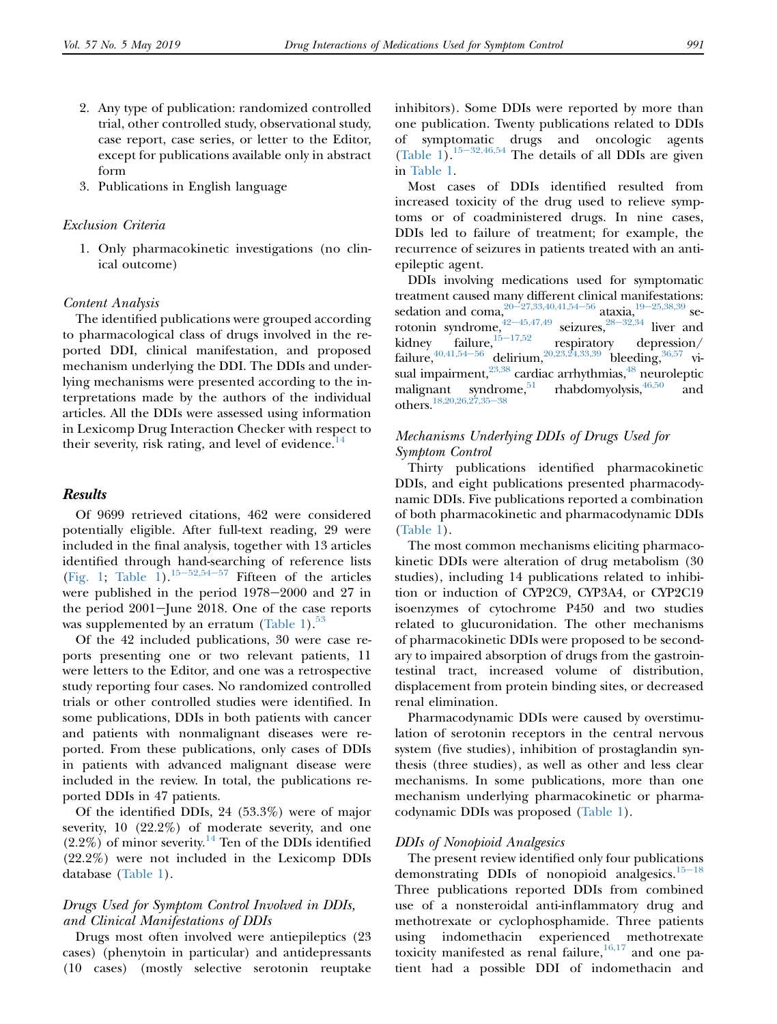- 2. Any type of publication: randomized controlled trial, other controlled study, observational study, case report, case series, or letter to the Editor, except for publications available only in abstract form
- 3. Publications in English language

#### Exclusion Criteria

1. Only pharmacokinetic investigations (no clinical outcome)

#### Content Analysis

The identified publications were grouped according to pharmacological class of drugs involved in the reported DDI, clinical manifestation, and proposed mechanism underlying the DDI. The DDIs and underlying mechanisms were presented according to the interpretations made by the authors of the individual articles. All the DDIs were assessed using information in Lexicomp Drug Interaction Checker with respect to their severity, risk rating, and level of evidence.<sup>[14](#page-7-0)</sup>

#### Results

Of 9699 retrieved citations, 462 were considered potentially eligible. After full-text reading, 29 were included in the final analysis, together with 13 articles identified through hand-searching of reference lists [\(Fig. 1;](#page-1-0) [Table 1\)](#page-3-0).<sup>15-[52,54](#page-7-0)-57</sup> Fifteen of the articles were published in the period  $1978-2000$  and 27 in the period  $2001$ -June 2018. One of the case reports was supplemented by an erratum ([Table 1](#page-3-0)). $^{53}$  $^{53}$  $^{53}$ 

Of the 42 included publications, 30 were case reports presenting one or two relevant patients, 11 were letters to the Editor, and one was a retrospective study reporting four cases. No randomized controlled trials or other controlled studies were identified. In some publications, DDIs in both patients with cancer and patients with nonmalignant diseases were reported. From these publications, only cases of DDIs in patients with advanced malignant disease were included in the review. In total, the publications reported DDIs in 47 patients.

Of the identified DDIs, 24 (53.3%) were of major severity, 10 (22.2%) of moderate severity, and one  $(2.2\%)$  of minor severity.<sup>[14](#page-7-0)</sup> Ten of the DDIs identified (22.2%) were not included in the Lexicomp DDIs database [\(Table 1\)](#page-3-0).

#### Drugs Used for Symptom Control Involved in DDIs, and Clinical Manifestations of DDIs

Drugs most often involved were antiepileptics (23 cases) (phenytoin in particular) and antidepressants (10 cases) (mostly selective serotonin reuptake inhibitors). Some DDIs were reported by more than one publication. Twenty publications related to DDIs symptomatic drugs and oncologic agents [\(Table 1](#page-3-0)).<sup>15-[32,46,54](#page-7-0)</sup> The details of all DDIs are given in [Table 1](#page-3-0).

Most cases of DDIs identified resulted from increased toxicity of the drug used to relieve symptoms or of coadministered drugs. In nine cases, DDIs led to failure of treatment; for example, the recurrence of seizures in patients treated with an antiepileptic agent.

DDIs involving medications used for symptomatic treatment caused many different clinical manifestations: sedation and coma,  $20-27,33,40,41,54-56$  $20-27,33,40,41,54-56$  $20-27,33,40,41,54-56$  ataxia,  $19-25,38,39$  $19-25,38,39$  serotonin syndrome,  $42-45,47,49$  $42-45,47,49$  seizures,  $28-32,34$  $28-32,34$  liver and kidney failure, $15-17,52$  $15-17,52$  respiratory depression/ failure,  $40,41,54-56$  delirium,  $20,23,24,33,39$  bleeding,  $36,57$  visual impairment,  $^{23,38}$  $^{23,38}$  $^{23,38}$  cardiac arrhythmias,  $^{48}$  $^{48}$  $^{48}$  neuroleptic<br>malignant syndrome,  $^{51}$  rhabdomyolysis,  $^{46,50}$  and malignant syndrome, $51$ others.<sup>[18,20,26,27,35](#page-8-0)-38</sup>

#### Mechanisms Underlying DDIs of Drugs Used for Symptom Control

Thirty publications identified pharmacokinetic DDIs, and eight publications presented pharmacodynamic DDIs. Five publications reported a combination of both pharmacokinetic and pharmacodynamic DDIs [\(Table 1\)](#page-3-0).

The most common mechanisms eliciting pharmacokinetic DDIs were alteration of drug metabolism (30 studies), including 14 publications related to inhibition or induction of CYP2C9, CYP3A4, or CYP2C19 isoenzymes of cytochrome P450 and two studies related to glucuronidation. The other mechanisms of pharmacokinetic DDIs were proposed to be secondary to impaired absorption of drugs from the gastrointestinal tract, increased volume of distribution, displacement from protein binding sites, or decreased renal elimination.

Pharmacodynamic DDIs were caused by overstimulation of serotonin receptors in the central nervous system (five studies), inhibition of prostaglandin synthesis (three studies), as well as other and less clear mechanisms. In some publications, more than one mechanism underlying pharmacokinetic or pharmacodynamic DDIs was proposed [\(Table 1\)](#page-3-0).

#### DDIs of Nonopioid Analgesics

The present review identified only four publications demonstrating DDIs of nonopioid analgesics. $15-18$  $15-18$ Three publications reported DDIs from combined use of a nonsteroidal anti-inflammatory drug and methotrexate or cyclophosphamide. Three patients using indomethacin experienced methotrexate toxicity manifested as renal failure, $16,17$  and one patient had a possible DDI of indomethacin and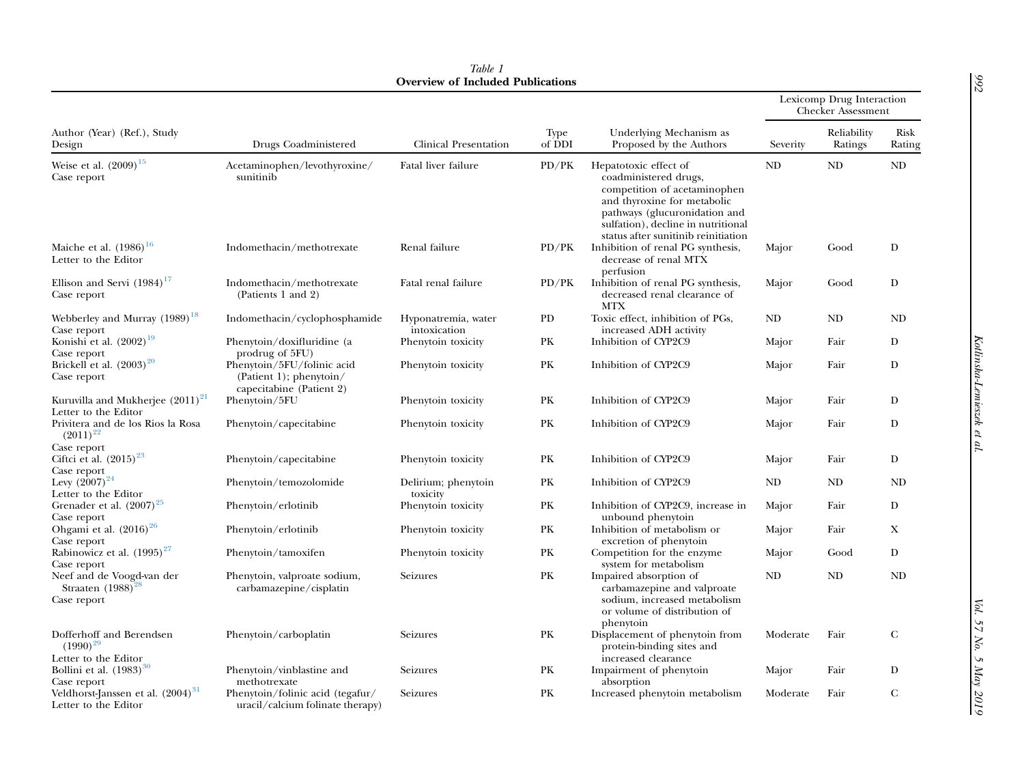<span id="page-3-0"></span>

|                                                                       | Drugs Coadministered                                                              | Overview of included I abilitations<br>Clinical Presentation | <b>Type</b><br>of DDI | Underlying Mechanism as<br>Proposed by the Authors                                                                                                                                                                          | Lexicomp Drug Interaction<br><b>Checker Assessment</b> |                        |                |
|-----------------------------------------------------------------------|-----------------------------------------------------------------------------------|--------------------------------------------------------------|-----------------------|-----------------------------------------------------------------------------------------------------------------------------------------------------------------------------------------------------------------------------|--------------------------------------------------------|------------------------|----------------|
| Author (Year) (Ref.), Study<br>Design                                 |                                                                                   |                                                              |                       |                                                                                                                                                                                                                             | Severity                                               | Reliability<br>Ratings | Risk<br>Rating |
| Weise et al. $(2009)^{15}$<br>Case report                             | Acetaminophen/levothyroxine/<br>sunitinib                                         | Fatal liver failure                                          | PD/PK                 | Hepatotoxic effect of<br>coadministered drugs,<br>competition of acetaminophen<br>and thyroxine for metabolic<br>pathways (glucuronidation and<br>sulfation), decline in nutritional<br>status after sunitinib reinitiation | ND                                                     | ND                     | ND             |
| Maiche et al. $(1986)^{16}$<br>Letter to the Editor                   | Indomethacin/methotrexate                                                         | Renal failure                                                | PD/PK                 | Inhibition of renal PG synthesis,<br>decrease of renal MTX<br>perfusion                                                                                                                                                     | Major                                                  | Good                   | $\mathbf D$    |
| Ellison and Servi $(1984)^{17}$<br>Case report                        | Indomethacin/methotrexate<br>(Patients 1 and 2)                                   | Fatal renal failure                                          | PD/PK                 | Inhibition of renal PG synthesis,<br>decreased renal clearance of<br><b>MTX</b>                                                                                                                                             | Major                                                  | Good                   | D              |
| Webberley and Murray (1989) <sup>18</sup><br>Case report              | Indomethacin/cyclophosphamide                                                     | Hyponatremia, water<br>intoxication                          | PD                    | Toxic effect, inhibition of PGs,<br>increased ADH activity                                                                                                                                                                  | ND                                                     | ND                     | ND             |
| Konishi <sup>et</sup> al. (2002) <sup>19</sup><br>Case report         | Phenytoin/doxifluridine (a<br>prodrug of 5FU)                                     | Phenytoin toxicity                                           | PК                    | Inhibition of CYP2C9                                                                                                                                                                                                        | Major                                                  | Fair                   | D              |
| Brickell et al. (2003) <sup>20</sup><br>Case report                   | Phenytoin/5FU/folinic acid<br>(Patient 1); phenytoin/<br>capecitabine (Patient 2) | Phenytoin toxicity                                           | PK                    | Inhibition of CYP2C9                                                                                                                                                                                                        | Major                                                  | Fair                   | D              |
| Kuruvilla and Mukherjee $(2011)^{21}$<br>Letter to the Editor         | Phenytoin/5FU                                                                     | Phenytoin toxicity                                           | PK                    | Inhibition of CYP2C9                                                                                                                                                                                                        | Major                                                  | Fair                   | D              |
| Privitera and de los Rios la Rosa<br>$(2011)^{22}$                    | Phenytoin/capecitabine                                                            | Phenytoin toxicity                                           | PK                    | Inhibition of CYP2C9                                                                                                                                                                                                        | Major                                                  | Fair                   | D              |
| Case report<br>Ciftci et al. (2015) <sup>23</sup><br>Case report      | Phenytoin/capecitabine                                                            | Phenytoin toxicity                                           | PК                    | Inhibition of CYP2C9                                                                                                                                                                                                        | Major                                                  | Fair                   | D              |
| Levy $(2007)^{24}$<br>Letter to the Editor                            | Phenytoin/temozolomide                                                            | Delirium; phenytoin<br>toxicity                              | PК                    | Inhibition of CYP2C9                                                                                                                                                                                                        | ND                                                     | ND                     | ND             |
| Grenader et al. (2007) <sup>25</sup><br>Case report                   | Phenytoin/erlotinib                                                               | Phenytoin toxicity                                           | PK                    | Inhibition of CYP2C9, increase in<br>unbound phenytoin                                                                                                                                                                      | Major                                                  | Fair                   | D              |
| Ohgami et al. (2016) <sup>26</sup><br>Case report                     | Phenytoin/erlotinib                                                               | Phenytoin toxicity                                           | PК                    | Inhibition of metabolism or<br>excretion of phenytoin                                                                                                                                                                       | Major                                                  | Fair                   | X              |
| Rabinowicz et al. (1995) <sup>27</sup><br>Case report                 | Phenytoin/tamoxifen                                                               | Phenytoin toxicity                                           | PК                    | Competition for the enzyme<br>system for metabolism                                                                                                                                                                         | Major                                                  | Good                   | D              |
| Neef and de Voogd-van der<br>Straaten $(1988)^2$<br>Case report       | Phenytoin, valproate sodium,<br>carbamazepine/cisplatin                           | Seizures                                                     | PK                    | Impaired absorption of<br>carbamazepine and valproate<br>sodium, increased metabolism<br>or volume of distribution of<br>phenytoin                                                                                          | ND                                                     | ND                     | ND             |
| Dofferhoff and Berendsen<br>$(1990)^{29}$<br>Letter to the Editor     | Phenytoin/carboplatin                                                             | Seizures                                                     | PK                    | Displacement of phenytoin from<br>protein-binding sites and<br>increased clearance                                                                                                                                          | Moderate                                               | Fair                   | $\mathbf C$    |
| Bollini et al. (1983) <sup>30</sup><br>Case report                    | Phenytoin/vinblastine and<br>methotrexate                                         | Seizures                                                     | PК                    | Impairment of phenytoin<br>absorption                                                                                                                                                                                       | Major                                                  | Fair                   | D              |
| Veldhorst-Janssen et al. (2004) <sup>31</sup><br>Letter to the Editor | Phenytoin/folinic acid (tegafur/<br>uracil/calcium folinate therapy)              | Seizures                                                     | PК                    | Increased phenytoin metabolism                                                                                                                                                                                              | Moderate                                               | Fair                   | C              |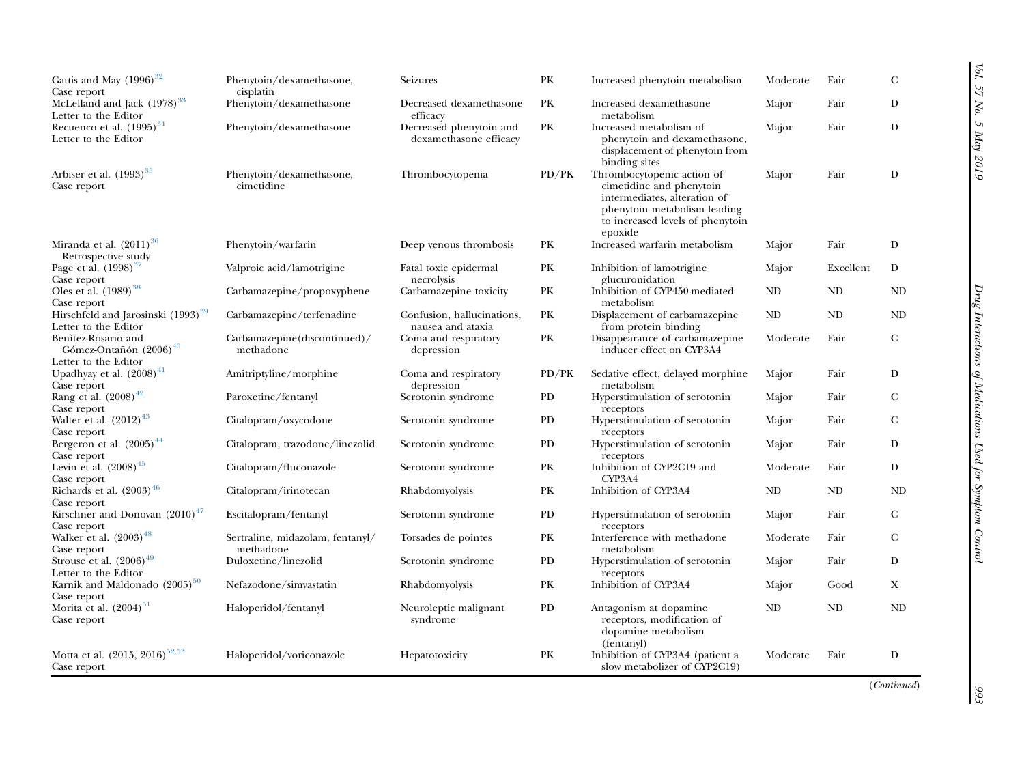| Gattis and May (1996) <sup>32</sup><br>Case report                                | Phenytoin/dexamethasone,<br>cisplatin         | Seizures                                          | PK    | Increased phenytoin metabolism                                                                                                                                        | Moderate | Fair      | $\mathbf C$ |
|-----------------------------------------------------------------------------------|-----------------------------------------------|---------------------------------------------------|-------|-----------------------------------------------------------------------------------------------------------------------------------------------------------------------|----------|-----------|-------------|
| McLelland and Jack (1978) <sup>33</sup><br>Letter to the Editor                   | Phenytoin/dexamethasone                       | Decreased dexamethasone<br>efficacy               | PK    | Increased dexamethasone<br>metabolism                                                                                                                                 | Major    | Fair      | D           |
| Recuenco et al. $(1995)^{34}$<br>Letter to the Editor                             | Phenytoin/dexamethasone                       | Decreased phenytoin and<br>dexamethasone efficacy | PK    | Increased metabolism of<br>phenytoin and dexamethasone,<br>displacement of phenytoin from<br>binding sites                                                            | Major    | Fair      | D           |
| Arbiser et al. (1993) <sup>35</sup><br>Case report                                | Phenytoin/dexamethasone,<br>cimetidine        | Thrombocytopenia                                  | PD/PK | Thrombocytopenic action of<br>cimetidine and phenytoin<br>intermediates, alteration of<br>phenytoin metabolism leading<br>to increased levels of phenytoin<br>epoxide | Major    | Fair      | D           |
| Miranda et al. $(2011)^{36}$<br>Retrospective study                               | Phenytoin/warfarin                            | Deep venous thrombosis                            | PK    | Increased warfarin metabolism                                                                                                                                         | Major    | Fair      | D           |
| Page et al. (1998) <sup>37</sup><br>Case report                                   | Valproic acid/lamotrigine                     | Fatal toxic epidermal<br>necrolysis               | PK    | Inhibition of lamotrigine<br>glucuronidation                                                                                                                          | Major    | Excellent | D           |
| Oles et al. (1989) <sup>38</sup><br>Case report                                   | Carbamazepine/propoxyphene                    | Carbamazepine toxicity                            | PK    | Inhibition of CYP450-mediated<br>metabolism                                                                                                                           | ND       | <b>ND</b> | ND          |
| Hirschfeld and Jarosinski (1993) <sup>39</sup><br>Letter to the Editor            | Carbamazepine/terfenadine                     | Confusion, hallucinations,<br>nausea and ataxia   | PK    | Displacement of carbamazepine<br>from protein binding                                                                                                                 | ND       | <b>ND</b> | <b>ND</b>   |
| Benitez-Rosario and<br>Gómez-Ontañón (2006) <sup>40</sup><br>Letter to the Editor | Carbamazepine(discontinued)/<br>methadone     | Coma and respiratory<br>depression                | PK    | Disappearance of carbamazepine<br>inducer effect on CYP3A4                                                                                                            | Moderate | Fair      | $\mathbf C$ |
| Upadhyay et al. $(2008)^{41}$<br>Case report                                      | Amitriptyline/morphine                        | Coma and respiratory<br>depression                | PD/PK | Sedative effect, delayed morphine<br>metabolism                                                                                                                       | Major    | Fair      | D           |
| Rang et al. (2008) <sup>42</sup><br>Case report                                   | Paroxetine/fentanyl                           | Serotonin syndrome                                | PD    | Hyperstimulation of serotonin<br>receptors                                                                                                                            | Major    | Fair      | $\mathbf C$ |
| Walter et al. $(2012)^{43}$<br>Case report                                        | Citalopram/oxycodone                          | Serotonin syndrome                                | PD    | Hyperstimulation of serotonin<br>receptors                                                                                                                            | Major    | Fair      | $\mathbf C$ |
| Bergeron et al. (2005) <sup>44</sup><br>Case report                               | Citalopram, trazodone/linezolid               | Serotonin syndrome                                | PD    | Hyperstimulation of serotonin<br>receptors                                                                                                                            | Major    | Fair      | D           |
| Levin et al. $(2008)^{45}$<br>Case report                                         | Citalopram/fluconazole                        | Serotonin syndrome                                | PK    | Inhibition of CYP2C19 and<br>CYP <sub>3</sub> A <sub>4</sub>                                                                                                          | Moderate | Fair      | D           |
| Richards et al. (2003) <sup>46</sup>                                              | Citalopram/irinotecan                         | Rhabdomyolysis                                    | PK    | Inhibition of CYP3A4                                                                                                                                                  | ND       | <b>ND</b> | <b>ND</b>   |
| Case report<br>Kirschner and Donovan $(2010)^{47}$<br>Case report                 | Escitalopram/fentanyl                         | Serotonin syndrome                                | PD    | Hyperstimulation of serotonin<br>receptors                                                                                                                            | Major    | Fair      | $\mathbf C$ |
| Walker et al. $(2003)^{48}$                                                       | Sertraline, midazolam, fentanyl/<br>methadone | Torsades de pointes                               | PK    | Interference with methadone<br>metabolism                                                                                                                             | Moderate | Fair      | $\mathbf C$ |
| Case report<br>Strouse et al. $(2006)^{49}$                                       | Duloxetine/linezolid                          | Serotonin syndrome                                | PD    | Hyperstimulation of serotonin                                                                                                                                         | Major    | Fair      | D           |
| Letter to the Editor<br>Karnik and Maldonado (2005) <sup>50</sup>                 | Nefazodone/simvastatin                        | Rhabdomyolysis                                    | PK    | receptors<br>Inhibition of CYP3A4                                                                                                                                     | Major    | Good      | X           |
| Case report<br>Morita et al. $(2004)^{51}$<br>Case report                         | Haloperidol/fentanyl                          | Neuroleptic malignant<br>syndrome                 | PD    | Antagonism at dopamine<br>receptors, modification of<br>dopamine metabolism<br>(fentanyl)                                                                             | ND       | ND        | ND          |
| Motta et al. (2015, 2016) <sup>52,53</sup><br>Case report                         | Haloperidol/voriconazole                      | Hepatotoxicity                                    | PK    | Inhibition of CYP3A4 (patient a<br>slow metabolizer of CYP2C19)                                                                                                       | Moderate | Fair      | D           |

(Continued)

 $\frac{993}{2}$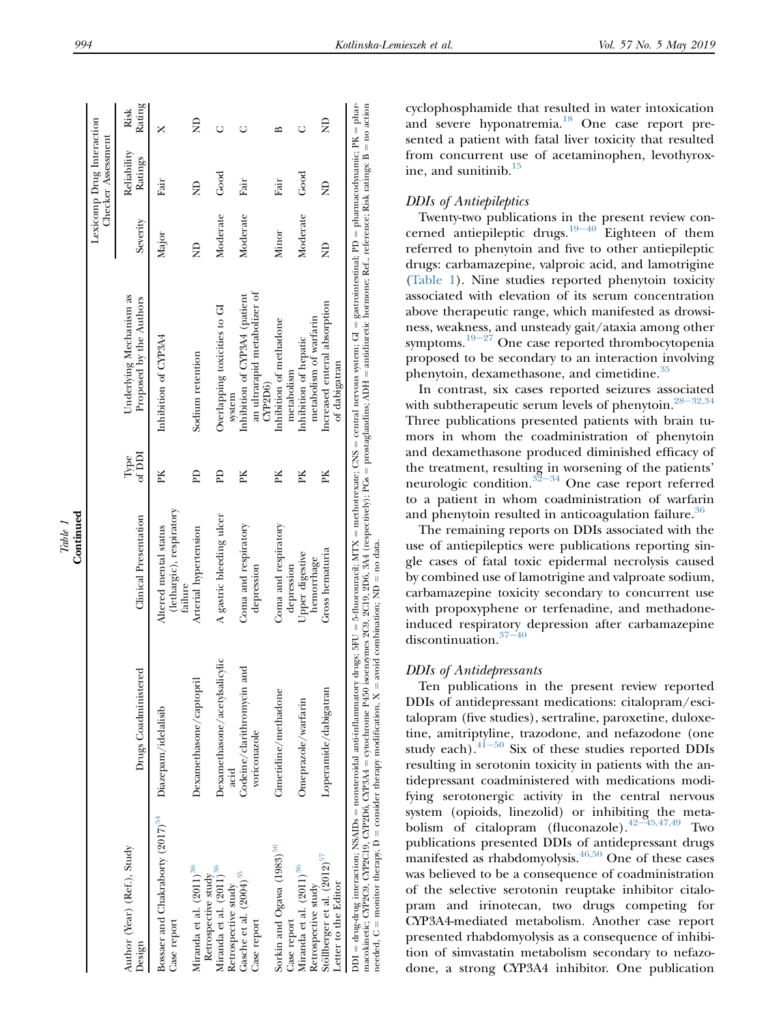|                                                                                                                                                                                                                                                                                                                              |                                                 |                                                              |                |                                                                                                                                                                                                             |          | Lexicomp Drug Interaction<br>Checker Assessment |                |
|------------------------------------------------------------------------------------------------------------------------------------------------------------------------------------------------------------------------------------------------------------------------------------------------------------------------------|-------------------------------------------------|--------------------------------------------------------------|----------------|-------------------------------------------------------------------------------------------------------------------------------------------------------------------------------------------------------------|----------|-------------------------------------------------|----------------|
| Author (Year) (Ref.), Study<br>Design                                                                                                                                                                                                                                                                                        | Drugs Coadministered                            | Clinical Presentation                                        | of DDI<br>Type | Underlying Mechanism as<br>Proposed by the Authors                                                                                                                                                          | Severity | Reliability<br>Ratings                          | Rating<br>Risk |
| Bossaer and Chakraborty (2017) <sup>54</sup><br>Case report                                                                                                                                                                                                                                                                  | Diazepam/idelalisib                             | (lethargic), respiratory<br>Altered mental status<br>failure | PK             | Inhibition of CYP3A4                                                                                                                                                                                        | Major    | Fair                                            |                |
| Miranda et al. (2011) <sup>36</sup><br>Retrospective study                                                                                                                                                                                                                                                                   | Dexamethasone/captopril                         | Arterial hypertension                                        | Eq             | Sodium retention                                                                                                                                                                                            | Ê        | £                                               | £              |
| Miranda et al. (2011) <sup>36</sup><br>Retrospective study                                                                                                                                                                                                                                                                   | Dexamethasone/acetylsalicylic<br>acid           | A gastric bleeding ulcer                                     | Eq             | Overlapping toxicities to GI<br>system                                                                                                                                                                      | Moderate | Good                                            | Ō              |
| Gasche et al. (2004) <sup>55</sup><br>Case report                                                                                                                                                                                                                                                                            | ್ರ<br>Codeine/clarithromycin an<br>voriconazole | Coma and respiratory<br>depression                           | PK             | an ultrarapid metabolizer of<br>Inhibition of CYP3A4 (patient<br>$\text{CYP2D6}$                                                                                                                            | Moderate | Fair                                            | U              |
| Sorkin and Ogawa (1983) <sup>56</sup><br>Case report                                                                                                                                                                                                                                                                         | Cimetidine/methadone                            | Coma and respiratory<br>depression                           | PK             | Inhibition of methadone<br>metabolism                                                                                                                                                                       | Minor    | Fair                                            | ≏              |
| Miranda et al. (2011) <sup>36</sup><br>Retrospective study                                                                                                                                                                                                                                                                   | Omeprazole/warfarin                             | Upper digestive<br>hemorrhage                                | PK             | metabolism of warfarin<br>Inhibition of hepatic                                                                                                                                                             | Moderate | Good                                            | Ō              |
| Stöllberger et al. (2012) <sup>57</sup><br>Letter to the Editor                                                                                                                                                                                                                                                              | Loperamide/dabigatran                           | Gross hematuria                                              | PK             | Increased enteral absorption<br>of dabigatran                                                                                                                                                               | â        | $\frac{1}{2}$                                   | £              |
| macokinetic; CYP2C19, CYP2D6, CYP2D6, CYP3A4 = cytochrome P450 isoenzymes 2C9, 2C9, 2C9, 32A4 (respectively), PGs = prostaglandins; ADH = antidiuretic hormone; Ref., reference; Risk ratings: B = no action<br>needed, $C =$ monitor therapy, $D =$ consider therapy modification, $X =$ avoid combination; $ND =$ no data. |                                                 |                                                              |                | DDI = drug-drug interaction; NSAIDs = nonsteroidal anti-inflammatory drugs; SFU = 5-fluorouracil; MTX = methotrexate; CNS = central nervous system; GI = gastrointestinal; PD = pharmacodynamic; PK = phar- |          |                                                 |                |

#### DDIs of Antiepileptics

Twenty-two publications in the present review con-cerned antiepileptic drugs.<sup>19-[40](#page-8-0)</sup> Eighteen of them referred to phenytoin and five to other antiepileptic drugs: carbamazepine, valproic acid, and lamotrigine [\(Table 1](#page-3-0)). Nine studies reported phenytoin toxicity associated with elevation of its serum concentration above therapeutic range, which manifested as drowsiness, weak[ness,](#page-8-0) and unsteady gait/ataxia among other symptoms.<sup>19-27</sup> One case reported thrombocytopenia proposed to be secondary to an interaction involving phenytoin, dexamethasone, and cimetidine.<sup>[35](#page-8-0)</sup>

In contrast, six cases reported seizures associated with subtherapeutic serum levels of phenytoin.<sup>28-[32,34](#page-8-0)</sup> Three publications presented patients with brain tumors in whom the coadministration of phenytoin and dexamethasone produced diminished efficacy of the treatment, resulting in worsening of the patients' neurologic condition. $32-34$  $32-34$  One case report referred to a patient in whom coadministration of warfarin and phenytoin resulted in anticoagulation failure.<sup>30</sup>

The remaining reports on DDIs associated with the use of antiepileptics were publications reporting single cases of fatal toxic epidermal necrolysis caused by combined use of lamotrigine and valproate sodium, carbamazepine toxicity secondary to concurrent use with propoxyphene or terfenadine, and methadoneinduced respira[tory d](#page-8-0)epression after carbamazepine discontinuation. $37-40$ 

# DDIs of Antidepressants

Ten publications in the present review reported DDIs of antidepressant medications: citalopram/escitalopram (five studies), sertraline, paroxetine, duloxetine, amitri[ptyline](#page-8-0), trazodone, and nefazodone (one study each). $41-50$  Six of these studies reported DDIs resulting in serotonin toxicity in patients with the antidepressant coadministered with medications modifying serotonergic activity in the central nervous system (opioids, linezolid) or inhibiting the meta-<br>bolism of citalopram (fluconazole). $^{42-45,47,49}$  $^{42-45,47,49}$  $^{42-45,47,49}$  Two publications presented DDIs of antidepressant drugs manifested as rhabdomyolysis. $46,50$  One of these cases was believed to be a consequence of coadministration of the selective serotonin reuptake inhibitor citalopram and irinotecan, two drugs competing for CYP3A4-mediated metabolism. Another case report presented rhabdomyolysis as a consequence of inhibition of simvastatin metabolism secondary to nefazodone, a strong CYP3A4 inhibitor. One publication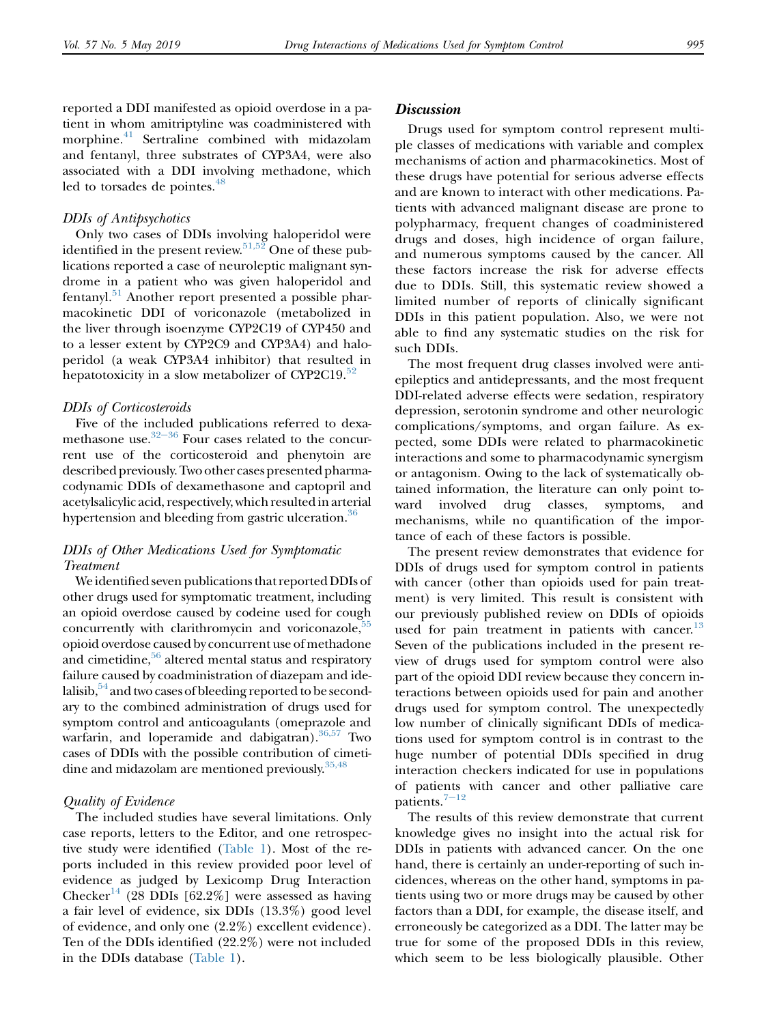reported a DDI manifested as opioid overdose in a patient in whom amitriptyline was coadministered with morphine.<sup>[41](#page-8-0)</sup> Sertraline combined with midazolam and fentanyl, three substrates of CYP3A4, were also associated with a DDI involving methadone, which led to torsades de pointes.<sup>[48](#page-8-0)</sup>

#### DDIs of Antipsychotics

Only two cases of DDIs involving haloperidol were identified in the present review.<sup>[51,52](#page-8-0)</sup> One of these publications reported a case of neuroleptic malignant syndrome in a patient who was given haloperidol and fentanyl.[51](#page-8-0) Another report presented a possible pharmacokinetic DDI of voriconazole (metabolized in the liver through isoenzyme CYP2C19 of CYP450 and to a lesser extent by CYP2C9 and CYP3A4) and haloperidol (a weak CYP3A4 inhibitor) that resulted in hepatotoxicity in a slow metabolizer of CYP2C19. $52$ 

#### DDIs of Corticosteroids

Five of the i[nclud](#page-8-0)ed publications referred to dexamethasone use. $32-36$  Four cases related to the concurrent use of the corticosteroid and phenytoin are described previously. Two other cases presented pharmacodynamic DDIs of dexamethasone and captopril and acetylsalicylic acid, respectively, which resulted in arterial hypertension and bleeding from gastric ulceration.<sup>[36](#page-8-0)</sup>

### DDIs of Other Medications Used for Symptomatic Treatment

We identified seven publications that reported DDIs of other drugs used for symptomatic treatment, including an opioid overdose caused by codeine used for cough concurrently with clarithromycin and voriconazole,<sup>55</sup> opioid overdose caused by concurrent use of methadone and cimetidine, $56$  altered mental status and respiratory failure caused by coadministration of diazepam and idelalisib, $54$  and two cases of bleeding reported to be secondary to the combined administration of drugs used for symptom control and anticoagulants (omeprazole and warfarin, and loperamide and dabigatran).<sup>36,57</sup> Two cases of DDIs with the possible contribution of cimetidine and midazolam are mentioned previously.  $35,48$ 

#### Quality of Evidence

The included studies have several limitations. Only case reports, letters to the Editor, and one retrospective study were identified [\(Table 1\)](#page-3-0). Most of the reports included in this review provided poor level of evidence as judged by Lexicomp Drug Interaction Checker<sup>[14](#page-7-0)</sup> (28 DDIs [62.2%] were assessed as having a fair level of evidence, six DDIs (13.3%) good level of evidence, and only one (2.2%) excellent evidence). Ten of the DDIs identified (22.2%) were not included in the DDIs database [\(Table 1\)](#page-3-0).

#### **Discussion**

Drugs used for symptom control represent multiple classes of medications with variable and complex mechanisms of action and pharmacokinetics. Most of these drugs have potential for serious adverse effects and are known to interact with other medications. Patients with advanced malignant disease are prone to polypharmacy, frequent changes of coadministered drugs and doses, high incidence of organ failure, and numerous symptoms caused by the cancer. All these factors increase the risk for adverse effects due to DDIs. Still, this systematic review showed a limited number of reports of clinically significant DDIs in this patient population. Also, we were not able to find any systematic studies on the risk for such DDIs.

The most frequent drug classes involved were antiepileptics and antidepressants, and the most frequent DDI-related adverse effects were sedation, respiratory depression, serotonin syndrome and other neurologic complications/symptoms, and organ failure. As expected, some DDIs were related to pharmacokinetic interactions and some to pharmacodynamic synergism or antagonism. Owing to the lack of systematically obtained information, the literature can only point toward involved drug classes, symptoms, and mechanisms, while no quantification of the importance of each of these factors is possible.

The present review demonstrates that evidence for DDIs of drugs used for symptom control in patients with cancer (other than opioids used for pain treatment) is very limited. This result is consistent with our previously published review on DDIs of opioids used for pain treatment in patients with cancer. $^{13}$  $^{13}$  $^{13}$ Seven of the publications included in the present review of drugs used for symptom control were also part of the opioid DDI review because they concern interactions between opioids used for pain and another drugs used for symptom control. The unexpectedly low number of clinically significant DDIs of medications used for symptom control is in contrast to the huge number of potential DDIs specified in drug interaction checkers indicated for use in populations of patients with cancer and other palliative care patients. $7-12$  $7-12$ 

The results of this review demonstrate that current knowledge gives no insight into the actual risk for DDIs in patients with advanced cancer. On the one hand, there is certainly an under-reporting of such incidences, whereas on the other hand, symptoms in patients using two or more drugs may be caused by other factors than a DDI, for example, the disease itself, and erroneously be categorized as a DDI. The latter may be true for some of the proposed DDIs in this review, which seem to be less biologically plausible. Other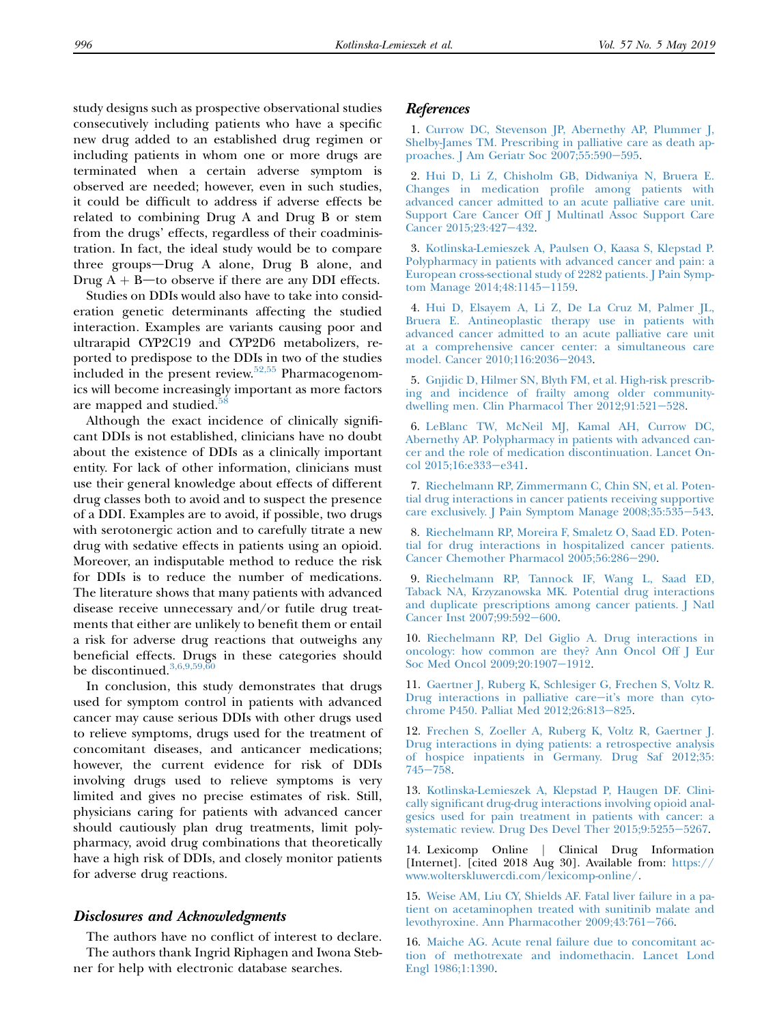<span id="page-7-0"></span>study designs such as prospective observational studies consecutively including patients who have a specific new drug added to an established drug regimen or including patients in whom one or more drugs are terminated when a certain adverse symptom is observed are needed; however, even in such studies, it could be difficult to address if adverse effects be related to combining Drug A and Drug B or stem from the drugs' effects, regardless of their coadministration. In fact, the ideal study would be to compare three groups-Drug A alone, Drug B alone, and Drug  $A + B$ —to observe if there are any DDI effects.

Studies on DDIs would also have to take into consideration genetic determinants affecting the studied interaction. Examples are variants causing poor and ultrarapid CYP2C19 and CYP2D6 metabolizers, reported to predispose to the DDIs in two of the studies included in the present review. $52,55$  Pharmacogenomics will become increasingly important as more factors are mapped and studied.<sup>5</sup>

Although the exact incidence of clinically significant DDIs is not established, clinicians have no doubt about the existence of DDIs as a clinically important entity. For lack of other information, clinicians must use their general knowledge about effects of different drug classes both to avoid and to suspect the presence of a DDI. Examples are to avoid, if possible, two drugs with serotonergic action and to carefully titrate a new drug with sedative effects in patients using an opioid. Moreover, an indisputable method to reduce the risk for DDIs is to reduce the number of medications. The literature shows that many patients with advanced disease receive unnecessary and/or futile drug treatments that either are unlikely to benefit them or entail a risk for adverse drug reactions that outweighs any beneficial effects. Drugs in these categories should be discontinued.<sup>3,6,9,59,60</sup>

In conclusion, this study demonstrates that drugs used for symptom control in patients with advanced cancer may cause serious DDIs with other drugs used to relieve symptoms, drugs used for the treatment of concomitant diseases, and anticancer medications; however, the current evidence for risk of DDIs involving drugs used to relieve symptoms is very limited and gives no precise estimates of risk. Still, physicians caring for patients with advanced cancer should cautiously plan drug treatments, limit polypharmacy, avoid drug combinations that theoretically have a high risk of DDIs, and closely monitor patients for adverse drug reactions.

#### Disclosures and Acknowledgments

The authors have no conflict of interest to declare. The authors thank Ingrid Riphagen and Iwona Stebner for help with electronic database searches.

#### References

1. Currow DC, Stevenson JP, Abernethy AP, Plummer J, Shelby-James TM. Prescribing in palliative care as death approaches. J Am Geriatr Soc  $2007;55:590-595$ .

2. Hui D, Li Z, Chisholm GB, Didwaniya N, Bruera E. Changes in medication profile among patients with advanced cancer admitted to an acute palliative care unit. Support Care Cancer Off J Multinatl Assoc Support Care Cancer 2015;23:427-432.

3. Kotlinska-Lemieszek A, Paulsen O, Kaasa S, Klepstad P. Polypharmacy in patients with advanced cancer and pain: a European cross-sectional study of 2282 patients. J Pain Symptom Manage  $2014;48:1145-1159$ .

4. Hui D, Elsayem A, Li Z, De La Cruz M, Palmer JL, Bruera E. Antineoplastic therapy use in patients with advanced cancer admitted to an acute palliative care unit at a comprehensive cancer center: a simultaneous care model. Cancer 2010;116:2036-2043.

5. Gnjidic D, Hilmer SN, Blyth FM, et al. High-risk prescribing and incidence of frailty among older communitydwelling men. Clin Pharmacol Ther  $2012;91:521-528$ .

6. LeBlanc TW, McNeil MJ, Kamal AH, Currow DC, Abernethy AP. Polypharmacy in patients with advanced cancer and the role of medication discontinuation. Lancet Oncol 2015;16:e333-e341.

7. Riechelmann RP, Zimmermann C, Chin SN, et al. Potential drug interactions in cancer patients receiving supportive care exclusively. J Pain Symptom Manage 2008;35:535-543.

8. Riechelmann RP, Moreira F, Smaletz O, Saad ED. Potential for drug interactions in hospitalized cancer patients. Cancer Chemother Pharmacol 2005;56:286-290.

9. Riechelmann RP, Tannock IF, Wang L, Saad ED, Taback NA, Krzyzanowska MK. Potential drug interactions and duplicate prescriptions among cancer patients. J Natl Cancer Inst 2007;99:592-600.

10. Riechelmann RP, Del Giglio A. Drug interactions in oncology: how common are they? Ann Oncol Off J Eur Soc Med Oncol 2009;20:1907-1912.

11. Gaertner J, Ruberg K, Schlesiger G, Frechen S, Voltz R. Drug interactions in palliative care-it's more than cytochrome P450. Palliat Med 2012;26:813-825.

12. Frechen S, Zoeller A, Ruberg K, Voltz R, Gaertner J. Drug interactions in dying patients: a retrospective analysis of hospice inpatients in Germany. Drug Saf 2012;35:  $745 - 758.$ 

13. Kotlinska-Lemieszek A, Klepstad P, Haugen DF. Clinically significant drug-drug interactions involving opioid analgesics used for pain treatment in patients with cancer: a systematic review. Drug Des Devel Ther 2015;9:5255-5267.

14. Lexicomp Online j Clinical Drug Information [Internet]. [cited 2018 Aug 30]. Available from: https:// www.wolterskluwercdi.com/lexicomp-online/.

15. Weise AM, Liu CY, Shields AF. Fatal liver failure in a patient on acetaminophen treated with sunitinib malate and levothyroxine. Ann Pharmacother 2009;43:761-766.

16. Maiche AG. Acute renal failure due to concomitant action of methotrexate and indomethacin. Lancet Lond Engl 1986;1:1390.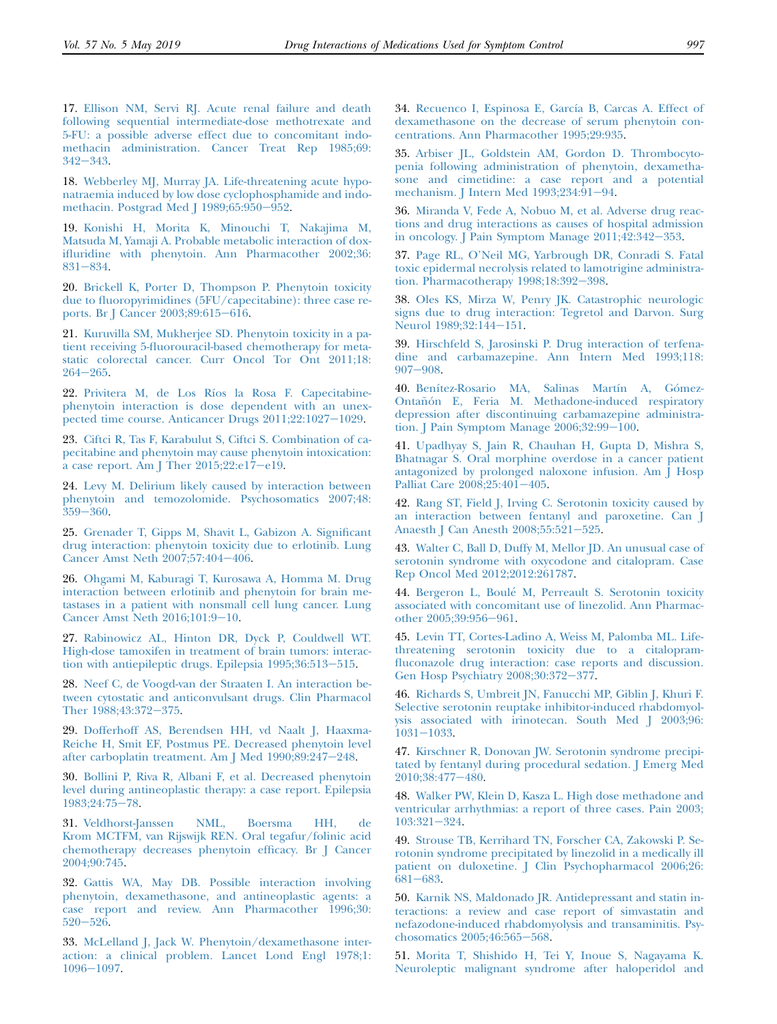<span id="page-8-0"></span>17. Ellison NM, Servi RJ. Acute renal failure and death following sequential intermediate-dose methotrexate and 5-FU: a possible adverse effect due to concomitant indomethacin administration. Cancer Treat Rep 1985;69:  $342 - 343.$ 

18. Webberley MJ, Murray JA. Life-threatening acute hyponatraemia induced by low dose cyclophosphamide and indomethacin. Postgrad Med J  $1989;65:950-952$ .

19. Konishi H, Morita K, Minouchi T, Nakajima M, Matsuda M, Yamaji A. Probable metabolic interaction of doxifluridine with phenytoin. Ann Pharmacother 2002;36: 831-834.

20. Brickell K, Porter D, Thompson P. Phenytoin toxicity due to fluoropyrimidines (5FU/capecitabine): three case reports. Br J Cancer  $2003;89:615-616$ .

21. Kuruvilla SM, Mukherjee SD. Phenytoin toxicity in a patient receiving 5-fluorouracil-based chemotherapy for metastatic colorectal cancer. Curr Oncol Tor Ont 2011;18:  $264 - 265$ .

22. Privitera M, de Los Ríos la Rosa F. Capecitabinephenytoin interaction is dose dependent with an unexpected time course. Anticancer Drugs 2011;22:1027-1029.

23. Ciftci R, Tas F, Karabulut S, Ciftci S. Combination of capecitabine and phenytoin may cause phenytoin intoxication: a case report. Am J Ther  $2015;22:el7$ -e19.

24. Levy M. Delirium likely caused by interaction between phenytoin and temozolomide. Psychosomatics 2007;48:  $359 - 360.$ 

25. Grenader T, Gipps M, Shavit L, Gabizon A. Significant drug interaction: phenytoin toxicity due to erlotinib. Lung Cancer Amst Neth 2007;57:404-406.

26. Ohgami M, Kaburagi T, Kurosawa A, Homma M. Drug interaction between erlotinib and phenytoin for brain metastases in a patient with nonsmall cell lung cancer. Lung Cancer Amst Neth 2016;101:9-10.

27. Rabinowicz AL, Hinton DR, Dyck P, Couldwell WT. High-dose tamoxifen in treatment of brain tumors: interaction with antiepileptic drugs. Epilepsia  $1995;36:513-515$ .

28. Neef C, de Voogd-van der Straaten I. An interaction between cytostatic and anticonvulsant drugs. Clin Pharmacol Ther 1988;43:372-375.

29. Dofferhoff AS, Berendsen HH, vd Naalt J, Haaxma-Reiche H, Smit EF, Postmus PE. Decreased phenytoin level after carboplatin treatment. Am J Med  $1990;89:247-248$ .

30. Bollini P, Riva R, Albani F, et al. Decreased phenytoin level during antineoplastic therapy: a case report. Epilepsia  $1983;24:75-78.$ 

31. Veldhorst-Janssen NML, Boersma HH, de Krom MCTFM, van Rijswijk REN. Oral tegafur/folinic acid chemotherapy decreases phenytoin efficacy. Br J Cancer 2004;90:745.

32. Gattis WA, May DB. Possible interaction involving phenytoin, dexamethasone, and antineoplastic agents: a case report and review. Ann Pharmacother 1996;30:  $520 - 526$ .

33. McLelland J, Jack W. Phenytoin/dexamethasone interaction: a clinical problem. Lancet Lond Engl 1978;1:  $1096 - 1097.$ 

34. Recuenco I, Espinosa E, García B, Carcas A. Effect of dexamethasone on the decrease of serum phenytoin concentrations. Ann Pharmacother 1995;29:935.

35. Arbiser JL, Goldstein AM, Gordon D. Thrombocytopenia following administration of phenytoin, dexamethasone and cimetidine: a case report and a potential mechanism. J Intern Med 1993;234:91-94.

36. Miranda V, Fede A, Nobuo M, et al. Adverse drug reactions and drug interactions as causes of hospital admission in oncology. J Pain Symptom Manage  $2011;42:342-353$ .

37. Page RL, O'Neil MG, Yarbrough DR, Conradi S. Fatal toxic epidermal necrolysis related to lamotrigine administration. Pharmacotherapy 1998;18:392-398.

38. Oles KS, Mirza W, Penry JK. Catastrophic neurologic signs due to drug interaction: Tegretol and Darvon. Surg Neurol 1989;32:144-151.

39. Hirschfeld S, Jarosinski P. Drug interaction of terfenadine and carbamazepine. Ann Intern Med 1993;118:  $907 - 908.$ 

40. Benítez-Rosario MA, Salinas Martín A, Gómez-Ontañón E, Feria M. Methadone-induced respiratory depression after discontinuing carbamazepine administration. J Pain Symptom Manage  $2006;32:99-100$ .

41. Upadhyay S, Jain R, Chauhan H, Gupta D, Mishra S, Bhatnagar S. Oral morphine overdose in a cancer patient antagonized by prolonged naloxone infusion. Am J Hosp Palliat Care  $2008;25:401-405$ .

42. Rang ST, Field J, Irving C. Serotonin toxicity caused by an interaction between fentanyl and paroxetine. Can J Anaesth J Can Anesth 2008;55:521-525.

43. Walter C, Ball D, Duffy M, Mellor JD. An unusual case of serotonin syndrome with oxycodone and citalopram. Case Rep Oncol Med 2012;2012:261787.

44. Bergeron L, Boule M, Perreault S. Serotonin toxicity associated with concomitant use of linezolid. Ann Pharmacother 2005;39:956-961.

45. Levin TT, Cortes-Ladino A, Weiss M, Palomba ML. Lifethreatening serotonin toxicity due to a citalopramfluconazole drug interaction: case reports and discussion. Gen Hosp Psychiatry 2008;30:372-377.

46. Richards S, Umbreit JN, Fanucchi MP, Giblin J, Khuri F. Selective serotonin reuptake inhibitor-induced rhabdomyolysis associated with irinotecan. South Med J 2003;96:  $1031 - 1033.$ 

47. Kirschner R, Donovan JW. Serotonin syndrome precipitated by fentanyl during procedural sedation. J Emerg Med  $2010;38:477-480.$ 

48. Walker PW, Klein D, Kasza L. High dose methadone and ventricular arrhythmias: a report of three cases. Pain 2003;  $103:321-324.$ 

49. Strouse TB, Kerrihard TN, Forscher CA, Zakowski P. Serotonin syndrome precipitated by linezolid in a medically ill patient on duloxetine. J Clin Psychopharmacol 2006;26: 681-683.

50. Karnik NS, Maldonado JR. Antidepressant and statin interactions: a review and case report of simvastatin and nefazodone-induced rhabdomyolysis and transaminitis. Psychosomatics 2005;46:565-568.

51. Morita T, Shishido H, Tei Y, Inoue S, Nagayama K. Neuroleptic malignant syndrome after haloperidol and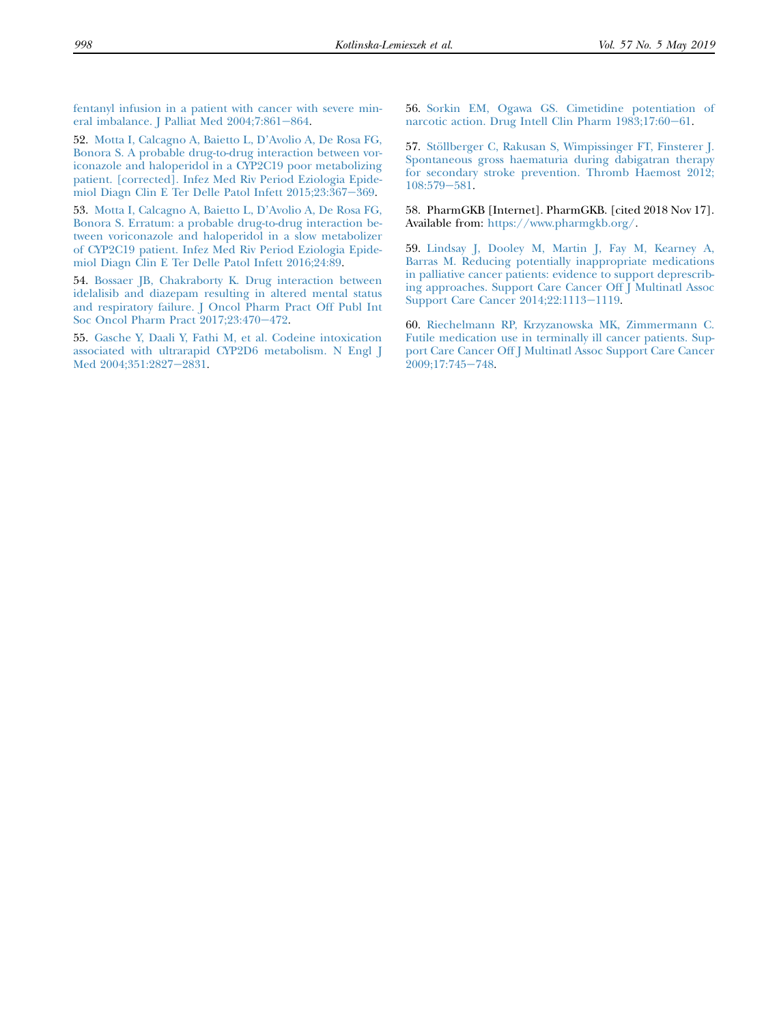<span id="page-9-0"></span>fentanyl infusion in a patient with cancer with severe mineral imbalance. J Palliat Med  $2004;7:861-864$ .

52. Motta I, Calcagno A, Baietto L, D'Avolio A, De Rosa FG, Bonora S. A probable drug-to-drug interaction between voriconazole and haloperidol in a CYP2C19 poor metabolizing patient. [corrected]. Infez Med Riv Period Eziologia Epidemiol Diagn Clin E Ter Delle Patol Infett 2015;23:367-369.

53. Motta I, Calcagno A, Baietto L, D'Avolio A, De Rosa FG, Bonora S. Erratum: a probable drug-to-drug interaction between voriconazole and haloperidol in a slow metabolizer of CYP2C19 patient. Infez Med Riv Period Eziologia Epidemiol Diagn Clin E Ter Delle Patol Infett 2016;24:89.

54. Bossaer JB, Chakraborty K. Drug interaction between idelalisib and diazepam resulting in altered mental status and respiratory failure. J Oncol Pharm Pract Off Publ Int Soc Oncol Pharm Pract 2017;23:470-472.

55. Gasche Y, Daali Y, Fathi M, et al. Codeine intoxication associated with ultrarapid CYP2D6 metabolism. N Engl J Med 2004;351:2827-2831.

56. Sorkin EM, Ogawa GS. Cimetidine potentiation of narcotic action. Drug Intell Clin Pharm 1983;17:60-61.

57. Stöllberger C, Rakusan S, Wimpissinger FT, Finsterer J. Spontaneous gross haematuria during dabigatran therapy for secondary stroke prevention. Thromb Haemost 2012; 108:579-581.

58. PharmGKB [Internet]. PharmGKB. [cited 2018 Nov 17]. Available from: https://www.pharmgkb.org/.

59. Lindsay J, Dooley M, Martin J, Fay M, Kearney A, Barras M. Reducing potentially inappropriate medications in palliative cancer patients: evidence to support deprescribing approaches. Support Care Cancer Off J Multinatl Assoc Support Care Cancer 2014;22:1113-1119.

60. Riechelmann RP, Krzyzanowska MK, Zimmermann C. Futile medication use in terminally ill cancer patients. Support Care Cancer Off J Multinatl Assoc Support Care Cancer  $2009;17:745-748.$